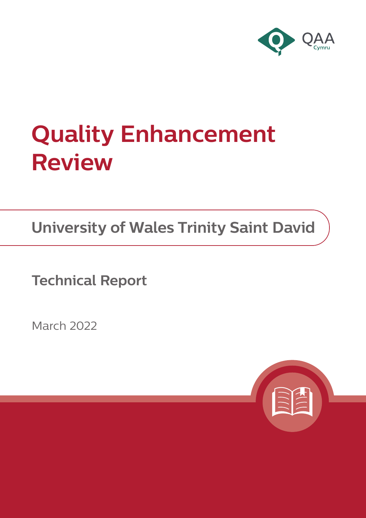

# **Quality Enhancement Review**

**University of Wales Trinity Saint David**

**Technical Report**

March 2022

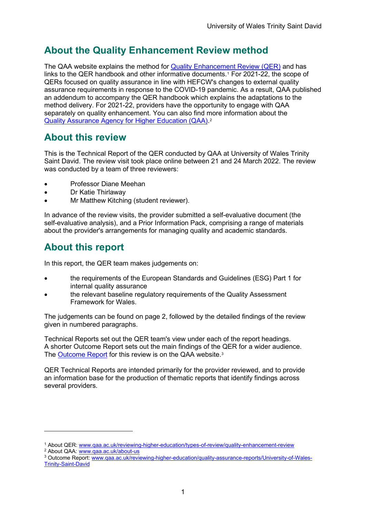# **About the Quality Enhancement Review method**

The QAA website explains the method for [Quality Enhancement Review \(QER\)](https://www.qaa.ac.uk/reviewing-higher-education/types-of-review/quality-enhancement-review) and has links to the QER handbook and other informative documents.[1](#page-1-0) For 2021-22, the scope of QERs focused on quality assurance in line with HEFCW's changes to external quality assurance requirements in response to the COVID-19 pandemic. As a result, QAA published an addendum to accompany the QER handbook which explains the adaptations to the method delivery. For 2021-22, providers have the opportunity to engage with QAA separately on quality enhancement. You can also find more information about the [Quality Assurance Agency for Higher Education \(QAA\).](https://www.qaa.ac.uk/about-us)[2](#page-1-1)

## **About this review**

This is the Technical Report of the QER conducted by QAA at University of Wales Trinity Saint David. The review visit took place online between 21 and 24 March 2022. The review was conducted by a team of three reviewers:

- Professor Diane Meehan
- Dr Katie Thirlaway
- Mr Matthew Kitching (student reviewer).

In advance of the review visits, the provider submitted a self-evaluative document (the self-evaluative analysis), and a Prior Information Pack, comprising a range of materials about the provider's arrangements for managing quality and academic standards.

## **About this report**

In this report, the QER team makes judgements on:

- the requirements of the European Standards and Guidelines (ESG) Part 1 for internal quality assurance
- the relevant baseline regulatory requirements of the Quality Assessment Framework for Wales.

The judgements can be found on page 2, followed by the detailed findings of the review given in numbered paragraphs.

Technical Reports set out the QER team's view under each of the report headings. A shorter Outcome Report sets out the main findings of the QER for a wider audience. The [Outcome Report](https://www.qaa.ac.uk/reviewing-higher-education/quality-assurance-reports/University-of-Wales-Trinity-Saint-David) for this review is on the QAA website.<sup>3</sup>

QER Technical Reports are intended primarily for the provider reviewed, and to provide an information base for the production of thematic reports that identify findings across several providers.

<span id="page-1-1"></span>

<span id="page-1-0"></span><sup>&</sup>lt;sup>1</sup> About QER: [www.qaa.ac.uk/reviewing-higher-education/types-of-review/quality-enhancement-review](https://www.qaa.ac.uk/reviewing-higher-education/types-of-review/quality-enhancement-review) <sup>2</sup> About QAA: [www.qaa.ac.uk/about-us](https://www.qaa.ac.uk/about-us)

<span id="page-1-2"></span><sup>3</sup> Outcome Report: [www.qaa.ac.uk/reviewing-higher-education/quality-assurance-reports/University-of-Wales-](https://www.qaa.ac.uk/reviewing-higher-education/quality-assurance-reports/University-of-Wales-Trinity-Saint-David)[Trinity-Saint-David](https://www.qaa.ac.uk/reviewing-higher-education/quality-assurance-reports/University-of-Wales-Trinity-Saint-David)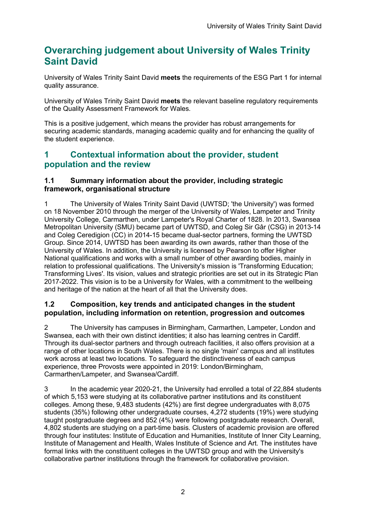# **Overarching judgement about University of Wales Trinity Saint David**

University of Wales Trinity Saint David **meets** the requirements of the ESG Part 1 for internal quality assurance.

University of Wales Trinity Saint David **meets** the relevant baseline regulatory requirements of the Quality Assessment Framework for Wales.

This is a positive judgement, which means the provider has robust arrangements for securing academic standards, managing academic quality and for enhancing the quality of the student experience.

## **1 Contextual information about the provider, student population and the review**

#### **1.1 Summary information about the provider, including strategic framework, organisational structure**

1 The University of Wales Trinity Saint David (UWTSD; 'the University') was formed on 18 November 2010 through the merger of the University of Wales, Lampeter and Trinity University College, Carmarthen, under Lampeter's Royal Charter of 1828. In 2013, Swansea Metropolitan University (SMU) became part of UWTSD, and Coleg Sir Gâr (CSG) in 2013-14 and Coleg Ceredigion (CC) in 2014-15 became dual-sector partners, forming the UWTSD Group. Since 2014, UWTSD has been awarding its own awards, rather than those of the University of Wales. In addition, the University is licensed by Pearson to offer Higher National qualifications and works with a small number of other awarding bodies, mainly in relation to professional qualifications. The University's mission is 'Transforming Education; Transforming Lives'. Its vision, values and strategic priorities are set out in its Strategic Plan 2017-2022. This vision is to be a University for Wales, with a commitment to the wellbeing and heritage of the nation at the heart of all that the University does.

#### **1.2 Composition, key trends and anticipated changes in the student population, including information on retention, progression and outcomes**

2 The University has campuses in Birmingham, Carmarthen, Lampeter, London and Swansea, each with their own distinct identities; it also has learning centres in Cardiff. Through its dual-sector partners and through outreach facilities, it also offers provision at a range of other locations in South Wales. There is no single 'main' campus and all institutes work across at least two locations. To safeguard the distinctiveness of each campus experience, three Provosts were appointed in 2019: London/Birmingham, Carmarthen/Lampeter, and Swansea/Cardiff.

3 In the academic year 2020-21, the University had enrolled a total of 22,884 students of which 5,153 were studying at its collaborative partner institutions and its constituent colleges. Among these, 9,483 students (42%) are first degree undergraduates with 8,075 students (35%) following other undergraduate courses, 4,272 students (19%) were studying taught postgraduate degrees and 852 (4%) were following postgraduate research. Overall, 4,802 students are studying on a part-time basis. Clusters of academic provision are offered through four institutes: Institute of Education and Humanities, Institute of Inner City Learning, Institute of Management and Health, Wales Institute of Science and Art. The institutes have formal links with the constituent colleges in the UWTSD group and with the University's collaborative partner institutions through the framework for collaborative provision.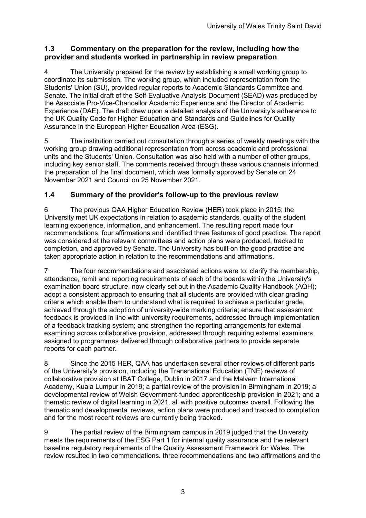#### **1.3 Commentary on the preparation for the review, including how the provider and students worked in partnership in review preparation**

4 The University prepared for the review by establishing a small working group to coordinate its submission. The working group, which included representation from the Students' Union (SU), provided regular reports to Academic Standards Committee and Senate. The initial draft of the Self-Evaluative Analysis Document (SEAD) was produced by the Associate Pro-Vice-Chancellor Academic Experience and the Director of Academic Experience (DAE). The draft drew upon a detailed analysis of the University's adherence to the UK Quality Code for Higher Education and Standards and Guidelines for Quality Assurance in the European Higher Education Area (ESG).

5 The institution carried out consultation through a series of weekly meetings with the working group drawing additional representation from across academic and professional units and the Students' Union. Consultation was also held with a number of other groups, including key senior staff. The comments received through these various channels informed the preparation of the final document, which was formally approved by Senate on 24 November 2021 and Council on 25 November 2021.

### **1.4 Summary of the provider's follow-up to the previous review**

6 The previous QAA Higher Education Review (HER) took place in 2015; the University met UK expectations in relation to academic standards, quality of the student learning experience, information, and enhancement. The resulting report made four recommendations, four affirmations and identified three features of good practice. The report was considered at the relevant committees and action plans were produced, tracked to completion, and approved by Senate. The University has built on the good practice and taken appropriate action in relation to the recommendations and affirmations.

7 The four recommendations and associated actions were to: clarify the membership, attendance, remit and reporting requirements of each of the boards within the University's examination board structure, now clearly set out in the Academic Quality Handbook (AQH); adopt a consistent approach to ensuring that all students are provided with clear grading criteria which enable them to understand what is required to achieve a particular grade, achieved through the adoption of university-wide marking criteria; ensure that assessment feedback is provided in line with university requirements, addressed through implementation of a feedback tracking system; and strengthen the reporting arrangements for external examining across collaborative provision, addressed through requiring external examiners assigned to programmes delivered through collaborative partners to provide separate reports for each partner.

8 Since the 2015 HER, QAA has undertaken several other reviews of different parts of the University's provision, including the Transnational Education (TNE) reviews of collaborative provision at IBAT College, Dublin in 2017 and the Malvern International Academy, Kuala Lumpur in 2019; a partial review of the provision in Birmingham in 2019; a developmental review of Welsh Government-funded apprenticeship provision in 2021; and a thematic review of digital learning in 2021, all with positive outcomes overall. Following the thematic and developmental reviews, action plans were produced and tracked to completion and for the most recent reviews are currently being tracked.

9 The partial review of the Birmingham campus in 2019 judged that the University meets the requirements of the ESG Part 1 for internal quality assurance and the relevant baseline regulatory requirements of the Quality Assessment Framework for Wales. The review resulted in two commendations, three recommendations and two affirmations and the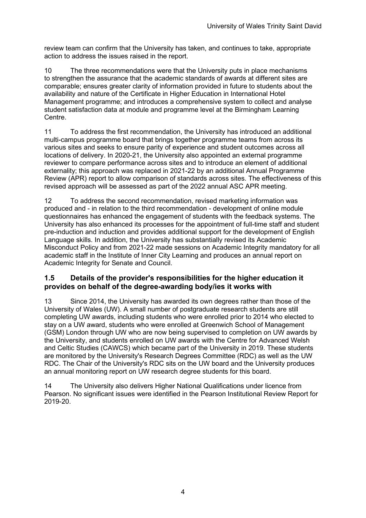review team can confirm that the University has taken, and continues to take, appropriate action to address the issues raised in the report.

10 The three recommendations were that the University puts in place mechanisms to strengthen the assurance that the academic standards of awards at different sites are comparable; ensures greater clarity of information provided in future to students about the availability and nature of the Certificate in Higher Education in International Hotel Management programme; and introduces a comprehensive system to collect and analyse student satisfaction data at module and programme level at the Birmingham Learning Centre.

11 To address the first recommendation, the University has introduced an additional multi-campus programme board that brings together programme teams from across its various sites and seeks to ensure parity of experience and student outcomes across all locations of delivery. In 2020-21, the University also appointed an external programme reviewer to compare performance across sites and to introduce an element of additional externality; this approach was replaced in 2021-22 by an additional Annual Programme Review (APR) report to allow comparison of standards across sites. The effectiveness of this revised approach will be assessed as part of the 2022 annual ASC APR meeting.

12 To address the second recommendation, revised marketing information was produced and - in relation to the third recommendation - development of online module questionnaires has enhanced the engagement of students with the feedback systems. The University has also enhanced its processes for the appointment of full-time staff and student pre-induction and induction and provides additional support for the development of English Language skills. In addition, the University has substantially revised its Academic Misconduct Policy and from 2021-22 made sessions on Academic Integrity mandatory for all academic staff in the Institute of Inner City Learning and produces an annual report on Academic Integrity for Senate and Council.

#### **1.5 Details of the provider's responsibilities for the higher education it provides on behalf of the degree-awarding body/ies it works with**

13 Since 2014, the University has awarded its own degrees rather than those of the University of Wales (UW). A small number of postgraduate research students are still completing UW awards, including students who were enrolled prior to 2014 who elected to stay on a UW award, students who were enrolled at Greenwich School of Management (GSM) London through UW who are now being supervised to completion on UW awards by the University, and students enrolled on UW awards with the Centre for Advanced Welsh and Celtic Studies (CAWCS) which became part of the University in 2019. These students are monitored by the University's Research Degrees Committee (RDC) as well as the UW RDC. The Chair of the University's RDC sits on the UW board and the University produces an annual monitoring report on UW research degree students for this board.

14 The University also delivers Higher National Qualifications under licence from Pearson. No significant issues were identified in the Pearson Institutional Review Report for 2019-20.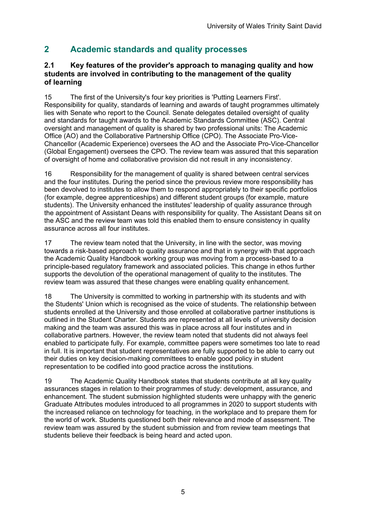## **2 Academic standards and quality processes**

#### **2.1 Key features of the provider's approach to managing quality and how students are involved in contributing to the management of the quality of learning**

15 The first of the University's four key priorities is 'Putting Learners First'. Responsibility for quality, standards of learning and awards of taught programmes ultimately lies with Senate who report to the Council. Senate delegates detailed oversight of quality and standards for taught awards to the Academic Standards Committee (ASC). Central oversight and management of quality is shared by two professional units: The Academic Office (AO) and the Collaborative Partnership Office (CPO). The Associate Pro-Vice-Chancellor (Academic Experience) oversees the AO and the Associate Pro-Vice-Chancellor (Global Engagement) oversees the CPO. The review team was assured that this separation of oversight of home and collaborative provision did not result in any inconsistency.

16 Responsibility for the management of quality is shared between central services and the four institutes. During the period since the previous review more responsibility has been devolved to institutes to allow them to respond appropriately to their specific portfolios (for example, degree apprenticeships) and different student groups (for example, mature students). The University enhanced the institutes' leadership of quality assurance through the appointment of Assistant Deans with responsibility for quality. The Assistant Deans sit on the ASC and the review team was told this enabled them to ensure consistency in quality assurance across all four institutes.

17 The review team noted that the University, in line with the sector, was moving towards a risk-based approach to quality assurance and that in synergy with that approach the Academic Quality Handbook working group was moving from a process-based to a principle-based regulatory framework and associated policies. This change in ethos further supports the devolution of the operational management of quality to the institutes. The review team was assured that these changes were enabling quality enhancement.

18 The University is committed to working in partnership with its students and with the Students' Union which is recognised as the voice of students. The relationship between students enrolled at the University and those enrolled at collaborative partner institutions is outlined in the Student Charter. Students are represented at all levels of university decision making and the team was assured this was in place across all four institutes and in collaborative partners. However, the review team noted that students did not always feel enabled to participate fully. For example, committee papers were sometimes too late to read in full. It is important that student representatives are fully supported to be able to carry out their duties on key decision-making committees to enable good policy in student representation to be codified into good practice across the institutions.

19 The Academic Quality Handbook states that students contribute at all key quality assurances stages in relation to their programmes of study: development, assurance, and enhancement. The student submission highlighted students were unhappy with the generic Graduate Attributes modules introduced to all programmes in 2020 to support students with the increased reliance on technology for teaching, in the workplace and to prepare them for the world of work. Students questioned both their relevance and mode of assessment. The review team was assured by the student submission and from review team meetings that students believe their feedback is being heard and acted upon.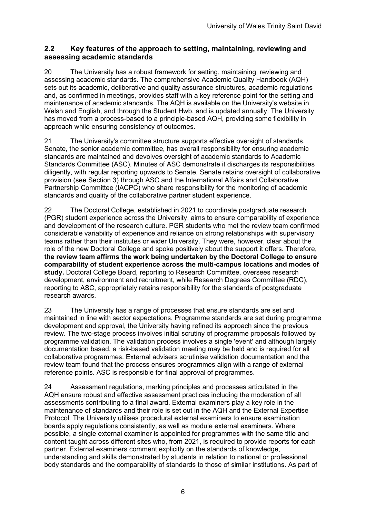#### **2.2 Key features of the approach to setting, maintaining, reviewing and assessing academic standards**

20 The University has a robust framework for setting, maintaining, reviewing and assessing academic standards. The comprehensive Academic Quality Handbook (AQH) sets out its academic, deliberative and quality assurance structures, academic regulations and, as confirmed in meetings, provides staff with a key reference point for the setting and maintenance of academic standards. The AQH is available on the University's website in Welsh and English, and through the Student Hwb, and is updated annually. The University has moved from a process-based to a principle-based AQH, providing some flexibility in approach while ensuring consistency of outcomes.

21 The University's committee structure supports effective oversight of standards. Senate, the senior academic committee, has overall responsibility for ensuring academic standards are maintained and devolves oversight of academic standards to Academic Standards Committee (ASC). Minutes of ASC demonstrate it discharges its responsibilities diligently, with regular reporting upwards to Senate. Senate retains oversight of collaborative provision (see Section 3) through ASC and the International Affairs and Collaborative Partnership Committee (IACPC) who share responsibility for the monitoring of academic standards and quality of the collaborative partner student experience.

22 The Doctoral College, established in 2021 to coordinate postgraduate research (PGR) student experience across the University, aims to ensure comparability of experience and development of the research culture. PGR students who met the review team confirmed considerable variability of experience and reliance on strong relationships with supervisory teams rather than their institutes or wider University. They were, however, clear about the role of the new Doctoral College and spoke positively about the support it offers. Therefore, **the review team affirms the work being undertaken by the Doctoral College to ensure comparability of student experience across the multi-campus locations and modes of study.** Doctoral College Board, reporting to Research Committee, oversees research development, environment and recruitment, while Research Degrees Committee (RDC), reporting to ASC, appropriately retains responsibility for the standards of postgraduate research awards.

23 The University has a range of processes that ensure standards are set and maintained in line with sector expectations. Programme standards are set during programme development and approval, the University having refined its approach since the previous review. The two-stage process involves initial scrutiny of programme proposals followed by programme validation. The validation process involves a single 'event' and although largely documentation based, a risk-based validation meeting may be held and is required for all collaborative programmes. External advisers scrutinise validation documentation and the review team found that the process ensures programmes align with a range of external reference points. ASC is responsible for final approval of programmes.

24 Assessment regulations, marking principles and processes articulated in the AQH ensure robust and effective assessment practices including the moderation of all assessments contributing to a final award. External examiners play a key role in the maintenance of standards and their role is set out in the AQH and the External Expertise Protocol. The University utilises procedural external examiners to ensure examination boards apply regulations consistently, as well as module external examiners. Where possible, a single external examiner is appointed for programmes with the same title and content taught across different sites who, from 2021, is required to provide reports for each partner. External examiners comment explicitly on the standards of knowledge, understanding and skills demonstrated by students in relation to national or professional body standards and the comparability of standards to those of similar institutions. As part of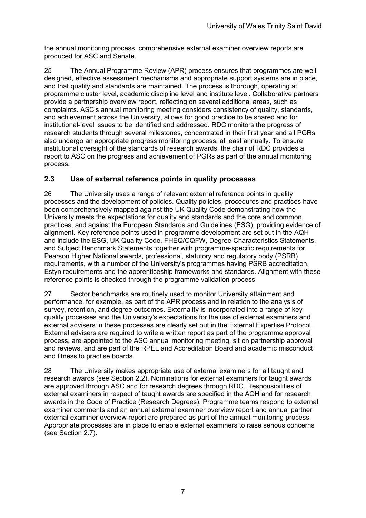the annual monitoring process, comprehensive external examiner overview reports are produced for ASC and Senate.

25 The Annual Programme Review (APR) process ensures that programmes are well designed, effective assessment mechanisms and appropriate support systems are in place, and that quality and standards are maintained. The process is thorough, operating at programme cluster level, academic discipline level and institute level. Collaborative partners provide a partnership overview report, reflecting on several additional areas, such as complaints. ASC's annual monitoring meeting considers consistency of quality, standards, and achievement across the University, allows for good practice to be shared and for institutional-level issues to be identified and addressed. RDC monitors the progress of research students through several milestones, concentrated in their first year and all PGRs also undergo an appropriate progress monitoring process, at least annually. To ensure institutional oversight of the standards of research awards, the chair of RDC provides a report to ASC on the progress and achievement of PGRs as part of the annual monitoring process.

#### **2.3 Use of external reference points in quality processes**

26 The University uses a range of relevant external reference points in quality processes and the development of policies. Quality policies, procedures and practices have been comprehensively mapped against the UK Quality Code demonstrating how the University meets the expectations for quality and standards and the core and common practices, and against the European Standards and Guidelines (ESG), providing evidence of alignment. Key reference points used in programme development are set out in the AQH and include the ESG, UK Quality Code, FHEQ/CQFW, Degree Characteristics Statements, and Subject Benchmark Statements together with programme-specific requirements for Pearson Higher National awards, professional, statutory and regulatory body (PSRB) requirements, with a number of the University's programmes having PSRB accreditation, Estyn requirements and the apprenticeship frameworks and standards. Alignment with these reference points is checked through the programme validation process.

27 Sector benchmarks are routinely used to monitor University attainment and performance, for example, as part of the APR process and in relation to the analysis of survey, retention, and degree outcomes. Externality is incorporated into a range of key quality processes and the University's expectations for the use of external examiners and external advisers in these processes are clearly set out in the External Expertise Protocol. External advisers are required to write a written report as part of the programme approval process, are appointed to the ASC annual monitoring meeting, sit on partnership approval and reviews, and are part of the RPEL and Accreditation Board and academic misconduct and fitness to practise boards.

28 The University makes appropriate use of external examiners for all taught and research awards (see Section 2.2). Nominations for external examiners for taught awards are approved through ASC and for research degrees through RDC. Responsibilities of external examiners in respect of taught awards are specified in the AQH and for research awards in the Code of Practice (Research Degrees). Programme teams respond to external examiner comments and an annual external examiner overview report and annual partner external examiner overview report are prepared as part of the annual monitoring process. Appropriate processes are in place to enable external examiners to raise serious concerns (see Section 2.7).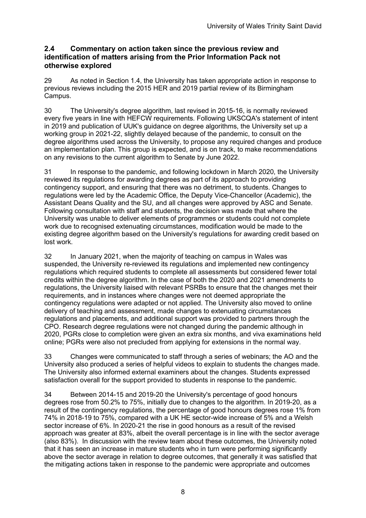#### **2.4 Commentary on action taken since the previous review and identification of matters arising from the Prior Information Pack not otherwise explored**

29 As noted in Section 1.4, the University has taken appropriate action in response to previous reviews including the 2015 HER and 2019 partial review of its Birmingham Campus.

30 The University's degree algorithm, last revised in 2015-16, is normally reviewed every five years in line with HEFCW requirements. Following UKSCQA's statement of intent in 2019 and publication of UUK's guidance on degree algorithms, the University set up a working group in 2021-22, slightly delayed because of the pandemic, to consult on the degree algorithms used across the University, to propose any required changes and produce an implementation plan. This group is expected, and is on track, to make recommendations on any revisions to the current algorithm to Senate by June 2022.

31 In response to the pandemic, and following lockdown in March 2020, the University reviewed its regulations for awarding degrees as part of its approach to providing contingency support, and ensuring that there was no detriment, to students. Changes to regulations were led by the Academic Office, the Deputy Vice-Chancellor (Academic), the Assistant Deans Quality and the SU, and all changes were approved by ASC and Senate. Following consultation with staff and students, the decision was made that where the University was unable to deliver elements of programmes or students could not complete work due to recognised extenuating circumstances, modification would be made to the existing degree algorithm based on the University's regulations for awarding credit based on lost work.

32 In January 2021, when the majority of teaching on campus in Wales was suspended, the University re-reviewed its regulations and implemented new contingency regulations which required students to complete all assessments but considered fewer total credits within the degree algorithm. In the case of both the 2020 and 2021 amendments to regulations, the University liaised with relevant PSRBs to ensure that the changes met their requirements, and in instances where changes were not deemed appropriate the contingency regulations were adapted or not applied. The University also moved to online delivery of teaching and assessment, made changes to extenuating circumstances regulations and placements, and additional support was provided to partners through the CPO. Research degree regulations were not changed during the pandemic although in 2020, PGRs close to completion were given an extra six months, and viva examinations held online; PGRs were also not precluded from applying for extensions in the normal way.

33 Changes were communicated to staff through a series of webinars; the AO and the University also produced a series of helpful videos to explain to students the changes made. The University also informed external examiners about the changes. Students expressed satisfaction overall for the support provided to students in response to the pandemic.

34 Between 2014-15 and 2019-20 the University's percentage of good honours degrees rose from 50.2% to 75%, initially due to changes to the algorithm. In 2019-20, as a result of the contingency regulations, the percentage of good honours degrees rose 1% from 74% in 2018-19 to 75%, compared with a UK HE sector-wide increase of 5% and a Welsh sector increase of 6%. In 2020-21 the rise in good honours as a result of the revised approach was greater at 83%, albeit the overall percentage is in line with the sector average (also 83%). In discussion with the review team about these outcomes, the University noted that it has seen an increase in mature students who in turn were performing significantly above the sector average in relation to degree outcomes, that generally it was satisfied that the mitigating actions taken in response to the pandemic were appropriate and outcomes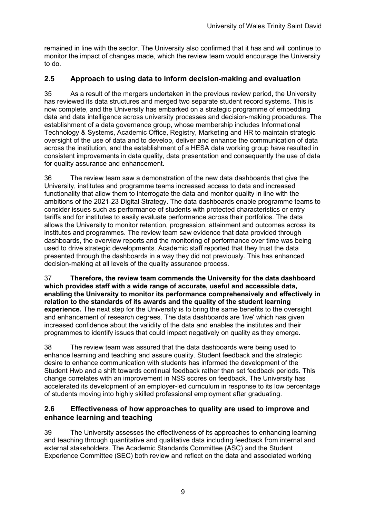remained in line with the sector. The University also confirmed that it has and will continue to monitor the impact of changes made, which the review team would encourage the University to do.

#### **2.5 Approach to using data to inform decision-making and evaluation**

35 As a result of the mergers undertaken in the previous review period, the University has reviewed its data structures and merged two separate student record systems. This is now complete, and the University has embarked on a strategic programme of embedding data and data intelligence across university processes and decision-making procedures. The establishment of a data governance group, whose membership includes Informational Technology & Systems, Academic Office, Registry, Marketing and HR to maintain strategic oversight of the use of data and to develop, deliver and enhance the communication of data across the institution, and the establishment of a HESA data working group have resulted in consistent improvements in data quality, data presentation and consequently the use of data for quality assurance and enhancement.

36 The review team saw a demonstration of the new data dashboards that give the University, institutes and programme teams increased access to data and increased functionality that allow them to interrogate the data and monitor quality in line with the ambitions of the 2021-23 Digital Strategy. The data dashboards enable programme teams to consider issues such as performance of students with protected characteristics or entry tariffs and for institutes to easily evaluate performance across their portfolios. The data allows the University to monitor retention, progression, attainment and outcomes across its institutes and programmes. The review team saw evidence that data provided through dashboards, the overview reports and the monitoring of performance over time was being used to drive strategic developments. Academic staff reported that they trust the data presented through the dashboards in a way they did not previously. This has enhanced decision-making at all levels of the quality assurance process.

37 **Therefore, the review team commends the University for the data dashboard which provides staff with a wide range of accurate, useful and accessible data, enabling the University to monitor its performance comprehensively and effectively in relation to the standards of its awards and the quality of the student learning experience.** The next step for the University is to bring the same benefits to the oversight and enhancement of research degrees. The data dashboards are 'live' which has given increased confidence about the validity of the data and enables the institutes and their programmes to identify issues that could impact negatively on quality as they emerge.

38 The review team was assured that the data dashboards were being used to enhance learning and teaching and assure quality. Student feedback and the strategic desire to enhance communication with students has informed the development of the Student Hwb and a shift towards continual feedback rather than set feedback periods. This change correlates with an improvement in NSS scores on feedback. The University has accelerated its development of an employer-led curriculum in response to its low percentage of students moving into highly skilled professional employment after graduating.

#### **2.6 Effectiveness of how approaches to quality are used to improve and enhance learning and teaching**

39 The University assesses the effectiveness of its approaches to enhancing learning and teaching through quantitative and qualitative data including feedback from internal and external stakeholders. The Academic Standards Committee (ASC) and the Student Experience Committee (SEC) both review and reflect on the data and associated working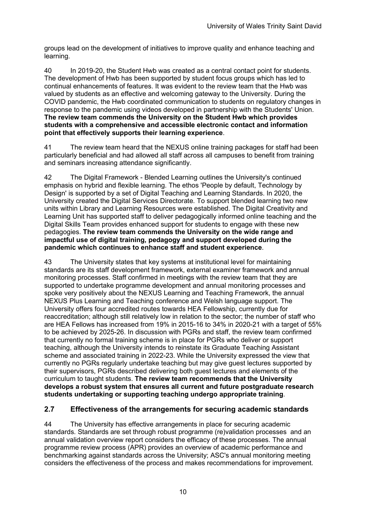groups lead on the development of initiatives to improve quality and enhance teaching and learning.

40 In 2019-20, the Student Hwb was created as a central contact point for students. The development of Hwb has been supported by student focus groups which has led to continual enhancements of features. It was evident to the review team that the Hwb was valued by students as an effective and welcoming gateway to the University. During the COVID pandemic, the Hwb coordinated communication to students on regulatory changes in response to the pandemic using videos developed in partnership with the Students' Union. **The review team commends the University on the Student Hwb which provides students with a comprehensive and accessible electronic contact and information point that effectively supports their learning experience**.

41 The review team heard that the NEXUS online training packages for staff had been particularly beneficial and had allowed all staff across all campuses to benefit from training and seminars increasing attendance significantly.

42 The Digital Framework - Blended Learning outlines the University's continued emphasis on hybrid and flexible learning. The ethos 'People by default, Technology by Design' is supported by a set of Digital Teaching and Learning Standards. In 2020, the University created the Digital Services Directorate. To support blended learning two new units within Library and Learning Resources were established. The Digital Creativity and Learning Unit has supported staff to deliver pedagogically informed online teaching and the Digital Skills Team provides enhanced support for students to engage with these new pedagogies. **The review team commends the University on the wide range and impactful use of digital training, pedagogy and support developed during the pandemic which continues to enhance staff and student experience**.

43 The University states that key systems at institutional level for maintaining standards are its staff development framework, external examiner framework and annual monitoring processes. Staff confirmed in meetings with the review team that they are supported to undertake programme development and annual monitoring processes and spoke very positively about the NEXUS Learning and Teaching Framework, the annual NEXUS Plus Learning and Teaching conference and Welsh language support. The University offers four accredited routes towards HEA Fellowship, currently due for reaccreditation; although still relatively low in relation to the sector; the number of staff who are HEA Fellows has increased from 19% in 2015-16 to 34% in 2020-21 with a target of 55% to be achieved by 2025-26. In discussion with PGRs and staff, the review team confirmed that currently no formal training scheme is in place for PGRs who deliver or support teaching, although the University intends to reinstate its Graduate Teaching Assistant scheme and associated training in 2022-23. While the University expressed the view that currently no PGRs regularly undertake teaching but may give guest lectures supported by their supervisors, PGRs described delivering both guest lectures and elements of the curriculum to taught students. **The review team recommends that the University develops a robust system that ensures all current and future postgraduate research students undertaking or supporting teaching undergo appropriate training**.

#### **2.7 Effectiveness of the arrangements for securing academic standards**

44 The University has effective arrangements in place for securing academic standards. Standards are set through robust programme (re)validation processes and an annual validation overview report considers the efficacy of these processes. The annual programme review process (APR) provides an overview of academic performance and benchmarking against standards across the University; ASC's annual monitoring meeting considers the effectiveness of the process and makes recommendations for improvement.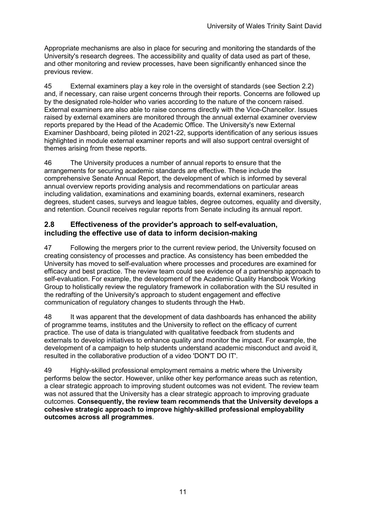Appropriate mechanisms are also in place for securing and monitoring the standards of the University's research degrees. The accessibility and quality of data used as part of these, and other monitoring and review processes, have been significantly enhanced since the previous review.

45 External examiners play a key role in the oversight of standards (see Section 2.2) and, if necessary, can raise urgent concerns through their reports. Concerns are followed up by the designated role-holder who varies according to the nature of the concern raised. External examiners are also able to raise concerns directly with the Vice-Chancellor. Issues raised by external examiners are monitored through the annual external examiner overview reports prepared by the Head of the Academic Office. The University's new External Examiner Dashboard, being piloted in 2021-22, supports identification of any serious issues highlighted in module external examiner reports and will also support central oversight of themes arising from these reports.

46 The University produces a number of annual reports to ensure that the arrangements for securing academic standards are effective. These include the comprehensive Senate Annual Report, the development of which is informed by several annual overview reports providing analysis and recommendations on particular areas including validation, examinations and examining boards, external examiners, research degrees, student cases, surveys and league tables, degree outcomes, equality and diversity, and retention. Council receives regular reports from Senate including its annual report.

#### **2.8 Effectiveness of the provider's approach to self-evaluation, including the effective use of data to inform decision-making**

47 Following the mergers prior to the current review period, the University focused on creating consistency of processes and practice. As consistency has been embedded the University has moved to self-evaluation where processes and procedures are examined for efficacy and best practice. The review team could see evidence of a partnership approach to self-evaluation. For example, the development of the Academic Quality Handbook Working Group to holistically review the regulatory framework in collaboration with the SU resulted in the redrafting of the University's approach to student engagement and effective communication of regulatory changes to students through the Hwb.

48 It was apparent that the development of data dashboards has enhanced the ability of programme teams, institutes and the University to reflect on the efficacy of current practice. The use of data is triangulated with qualitative feedback from students and externals to develop initiatives to enhance quality and monitor the impact. For example, the development of a campaign to help students understand academic misconduct and avoid it, resulted in the collaborative production of a video 'DON'T DO IT'.

49 Highly-skilled professional employment remains a metric where the University performs below the sector. However, unlike other key performance areas such as retention, a clear strategic approach to improving student outcomes was not evident. The review team was not assured that the University has a clear strategic approach to improving graduate outcomes. **Consequently, the review team recommends that the University develops a cohesive strategic approach to improve highly-skilled professional employability outcomes across all programmes**.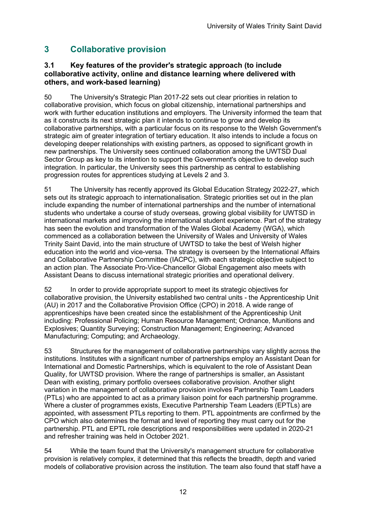## **3 Collaborative provision**

#### **3.1 Key features of the provider's strategic approach (to include collaborative activity, online and distance learning where delivered with others, and work-based learning)**

50 The University's Strategic Plan 2017-22 sets out clear priorities in relation to collaborative provision, which focus on global citizenship, international partnerships and work with further education institutions and employers. The University informed the team that as it constructs its next strategic plan it intends to continue to grow and develop its collaborative partnerships, with a particular focus on its response to the Welsh Government's strategic aim of greater integration of tertiary education. It also intends to include a focus on developing deeper relationships with existing partners, as opposed to significant growth in new partnerships. The University sees continued collaboration among the UWTSD Dual Sector Group as key to its intention to support the Government's objective to develop such integration. In particular, the University sees this partnership as central to establishing progression routes for apprentices studying at Levels 2 and 3.

51 The University has recently approved its Global Education Strategy 2022-27, which sets out its strategic approach to internationalisation. Strategic priorities set out in the plan include expanding the number of international partnerships and the number of international students who undertake a course of study overseas, growing global visibility for UWTSD in international markets and improving the international student experience. Part of the strategy has seen the evolution and transformation of the Wales Global Academy (WGA), which commenced as a collaboration between the University of Wales and University of Wales Trinity Saint David, into the main structure of UWTSD to take the best of Welsh higher education into the world and vice-versa. The strategy is overseen by the International Affairs and Collaborative Partnership Committee (IACPC), with each strategic objective subject to an action plan. The Associate Pro-Vice-Chancellor Global Engagement also meets with Assistant Deans to discuss international strategic priorities and operational delivery.

52 In order to provide appropriate support to meet its strategic objectives for collaborative provision, the University established two central units - the Apprenticeship Unit (AU) in 2017 and the Collaborative Provision Office (CPO) in 2018. A wide range of apprenticeships have been created since the establishment of the Apprenticeship Unit including: Professional Policing; Human Resource Management; Ordnance, Munitions and Explosives; Quantity Surveying; Construction Management; Engineering; Advanced Manufacturing; Computing; and Archaeology.

53 Structures for the management of collaborative partnerships vary slightly across the institutions. Institutes with a significant number of partnerships employ an Assistant Dean for International and Domestic Partnerships, which is equivalent to the role of Assistant Dean Quality, for UWTSD provision. Where the range of partnerships is smaller, an Assistant Dean with existing, primary portfolio oversees collaborative provision. Another slight variation in the management of collaborative provision involves Partnership Team Leaders (PTLs) who are appointed to act as a primary liaison point for each partnership programme. Where a cluster of programmes exists, Executive Partnership Team Leaders (EPTLs) are appointed, with assessment PTLs reporting to them. PTL appointments are confirmed by the CPO which also determines the format and level of reporting they must carry out for the partnership. PTL and EPTL role descriptions and responsibilities were updated in 2020-21 and refresher training was held in October 2021.

54 While the team found that the University's management structure for collaborative provision is relatively complex, it determined that this reflects the breadth, depth and varied models of collaborative provision across the institution. The team also found that staff have a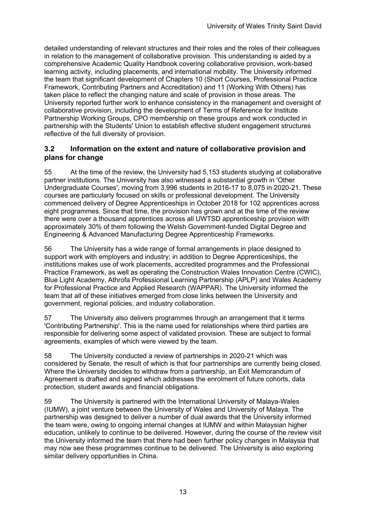detailed understanding of relevant structures and their roles and the roles of their colleagues in relation to the management of collaborative provision. This understanding is aided by a comprehensive Academic Quality Handbook covering collaborative provision, work-based learning activity, including placements, and international mobility. The University informed the team that significant development of Chapters 10 (Short Courses, Professional Practice Framework, Contributing Partners and Accreditation) and 11 (Working With Others) has taken place to reflect the changing nature and scale of provision in those areas. The University reported further work to enhance consistency in the management and oversight of collaborative provision, including the development of Terms of Reference for Institute Partnership Working Groups, CPO membership on these groups and work conducted in partnership with the Students' Union to establish effective student engagement structures reflective of the full diversity of provision.

#### **3.2 Information on the extent and nature of collaborative provision and plans for change**

55 At the time of the review, the University had 5,153 students studying at collaborative partner institutions. The University has also witnessed a substantial growth in 'Other Undergraduate Courses', moving from 3,996 students in 2016-17 to 8,075 in 2020-21. These courses are particularly focused on skills or professional development. The University commenced delivery of Degree Apprenticeships in October 2018 for 102 apprentices across eight programmes. Since that time, the provision has grown and at the time of the review there were over a thousand apprentices across all UWTSD apprenticeship provision with approximately 30% of them following the Welsh Government-funded Digital Degree and Engineering & Advanced Manufacturing Degree Apprenticeship Frameworks.

56 The University has a wide range of formal arrangements in place designed to support work with employers and industry; in addition to Degree Apprenticeships, the institutions makes use of work placements, accredited programmes and the Professional Practice Framework, as well as operating the Construction Wales Innovation Centre (CWIC), Blue Light Academy, Athrofa Professional Learning Partnership (APLP) and Wales Academy for Professional Practice and Applied Research (WAPPAR). The University informed the team that all of these initiatives emerged from close links between the University and government, regional policies, and industry collaboration.

57 The University also delivers programmes through an arrangement that it terms 'Contributing Partnership'. This is the name used for relationships where third parties are responsible for delivering some aspect of validated provision. These are subject to formal agreements, examples of which were viewed by the team.

58 The University conducted a review of partnerships in 2020-21 which was considered by Senate, the result of which is that four partnerships are currently being closed. Where the University decides to withdraw from a partnership, an Exit Memorandum of Agreement is drafted and signed which addresses the enrolment of future cohorts, data protection, student awards and financial obligations.

59 The University is partnered with the International University of Malaya-Wales (IUMW), a joint venture between the University of Wales and University of Malaya. The partnership was designed to deliver a number of dual awards that the University informed the team were, owing to ongoing internal changes at IUMW and within Malaysian higher education, unlikely to continue to be delivered. However, during the course of the review visit the University informed the team that there had been further policy changes in Malaysia that may now see these programmes continue to be delivered. The University is also exploring similar delivery opportunities in China.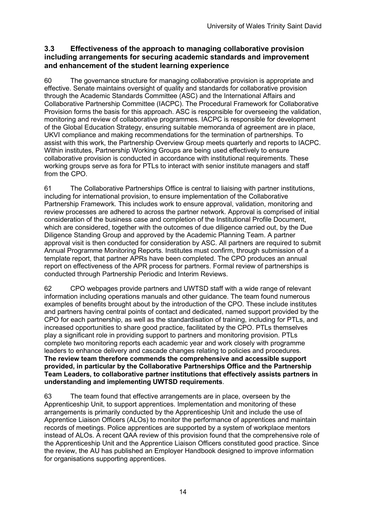#### **3.3 Effectiveness of the approach to managing collaborative provision including arrangements for securing academic standards and improvement and enhancement of the student learning experience**

60 The governance structure for managing collaborative provision is appropriate and effective. Senate maintains oversight of quality and standards for collaborative provision through the Academic Standards Committee (ASC) and the International Affairs and Collaborative Partnership Committee (IACPC). The Procedural Framework for Collaborative Provision forms the basis for this approach. ASC is responsible for overseeing the validation, monitoring and review of collaborative programmes. IACPC is responsible for development of the Global Education Strategy, ensuring suitable memoranda of agreement are in place, UKVI compliance and making recommendations for the termination of partnerships. To assist with this work, the Partnership Overview Group meets quarterly and reports to IACPC. Within institutes, Partnership Working Groups are being used effectively to ensure collaborative provision is conducted in accordance with institutional requirements. These working groups serve as fora for PTLs to interact with senior institute managers and staff from the CPO.

61 The Collaborative Partnerships Office is central to liaising with partner institutions, including for international provision, to ensure implementation of the Collaborative Partnership Framework. This includes work to ensure approval, validation, monitoring and review processes are adhered to across the partner network. Approval is comprised of initial consideration of the business case and completion of the Institutional Profile Document, which are considered, together with the outcomes of due diligence carried out, by the Due Diligence Standing Group and approved by the Academic Planning Team. A partner approval visit is then conducted for consideration by ASC. All partners are required to submit Annual Programme Monitoring Reports. Institutes must confirm, through submission of a template report, that partner APRs have been completed. The CPO produces an annual report on effectiveness of the APR process for partners. Formal review of partnerships is conducted through Partnership Periodic and Interim Reviews.

62 CPO webpages provide partners and UWTSD staff with a wide range of relevant information including operations manuals and other guidance. The team found numerous examples of benefits brought about by the introduction of the CPO. These include institutes and partners having central points of contact and dedicated, named support provided by the CPO for each partnership, as well as the standardisation of training, including for PTLs, and increased opportunities to share good practice, facilitated by the CPO. PTLs themselves play a significant role in providing support to partners and monitoring provision. PTLs complete two monitoring reports each academic year and work closely with programme leaders to enhance delivery and cascade changes relating to policies and procedures. **The review team therefore commends the comprehensive and accessible support provided, in particular by the Collaborative Partnerships Office and the Partnership Team Leaders, to collaborative partner institutions that effectively assists partners in understanding and implementing UWTSD requirements**.

63 The team found that effective arrangements are in place, overseen by the Apprenticeship Unit, to support apprentices. Implementation and monitoring of these arrangements is primarily conducted by the Apprenticeship Unit and include the use of Apprentice Liaison Officers (ALOs) to monitor the performance of apprentices and maintain records of meetings. Police apprentices are supported by a system of workplace mentors instead of ALOs. A recent QAA review of this provision found that the comprehensive role of the Apprenticeship Unit and the Apprentice Liaison Officers constituted good practice. Since the review, the AU has published an Employer Handbook designed to improve information for organisations supporting apprentices.